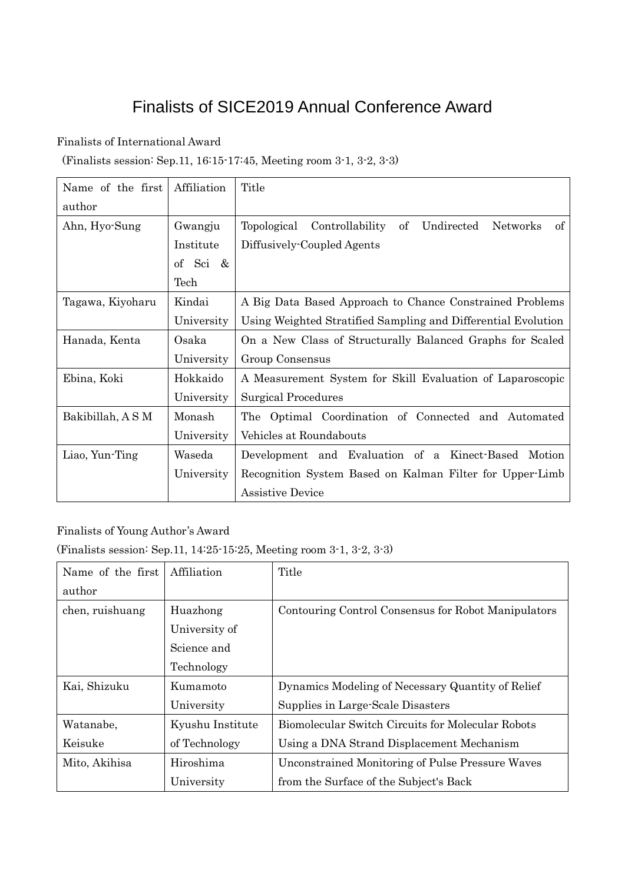## Finalists of SICE2019 Annual Conference Award

## Finalists of International Award

(Finalists session: Sep.11, 16:15-17:45, Meeting room 3-1, 3-2, 3-3)

| Name of the first | Affiliation | Title                                                                       |  |
|-------------------|-------------|-----------------------------------------------------------------------------|--|
| author            |             |                                                                             |  |
| Ahn, Hyo-Sung     | Gwangju     | οf<br>Undirected<br>Topological<br>Controllability<br><b>Networks</b><br>of |  |
|                   | Institute   | Diffusively-Coupled Agents                                                  |  |
|                   | of Sci &    |                                                                             |  |
|                   | Tech        |                                                                             |  |
| Tagawa, Kiyoharu  | Kindai      | A Big Data Based Approach to Chance Constrained Problems                    |  |
|                   | University  | Using Weighted Stratified Sampling and Differential Evolution               |  |
| Hanada, Kenta     | Osaka       | On a New Class of Structurally Balanced Graphs for Scaled                   |  |
|                   | University  | Group Consensus                                                             |  |
| Ebina, Koki       | Hokkaido    | A Measurement System for Skill Evaluation of Laparoscopic                   |  |
|                   | University  | Surgical Procedures                                                         |  |
| Bakibillah, ASM   | Monash      | The Optimal Coordination of Connected and Automated                         |  |
|                   | University  | Vehicles at Roundabouts                                                     |  |
| Liao, Yun-Ting    | Waseda      | Development and Evaluation of a Kinect-Based Motion                         |  |
|                   | University  | Recognition System Based on Kalman Filter for Upper-Limb                    |  |
|                   |             | <b>Assistive Device</b>                                                     |  |

## Finalists of Young Author's Award

(Finalists session: Sep.11, 14:25-15:25, Meeting room 3-1, 3-2, 3-3)

| Name of the first | Affiliation      | Title                                                   |
|-------------------|------------------|---------------------------------------------------------|
| author            |                  |                                                         |
| chen, ruishuang   | Huazhong         | Contouring Control Consensus for Robot Manipulators     |
|                   | University of    |                                                         |
|                   | Science and      |                                                         |
|                   | Technology       |                                                         |
| Kai, Shizuku      | Kumamoto         | Dynamics Modeling of Necessary Quantity of Relief       |
|                   | University       | Supplies in Large-Scale Disasters                       |
| Watanabe,         | Kyushu Institute | Biomolecular Switch Circuits for Molecular Robots       |
| Keisuke           | of Technology    | Using a DNA Strand Displacement Mechanism               |
| Mito, Akihisa     | Hiroshima        | <b>Unconstrained Monitoring of Pulse Pressure Waves</b> |
|                   | University       | from the Surface of the Subject's Back                  |